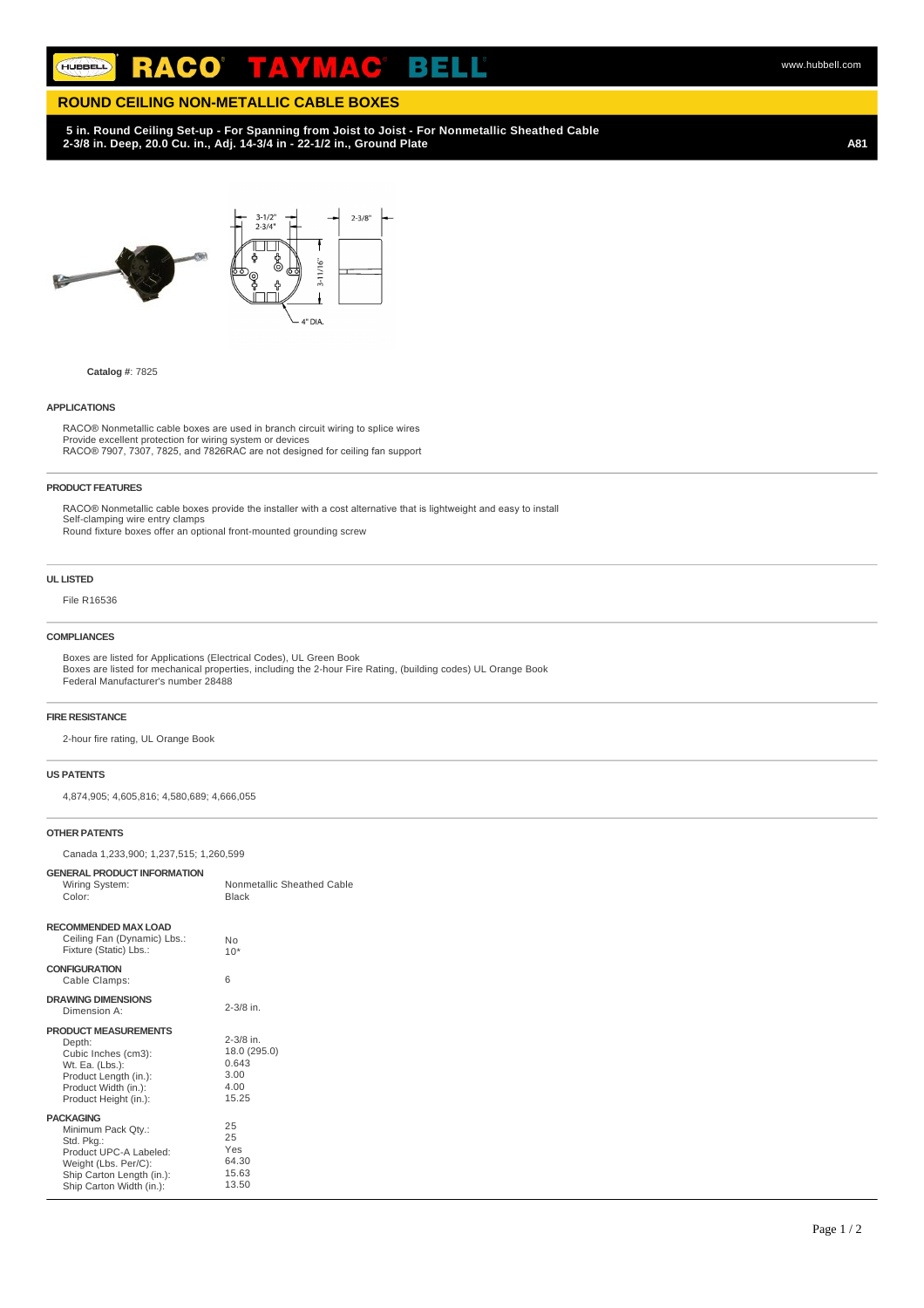#### R ACO в HUBBELL  $\bullet$

# **ROUND CEILING NON-METALLIC CABLE BOXES**

# **5 in. Round Ceiling Set-up - For Spanning from Joist to Joist - For Nonmetallic Sheathed Cable 2-3/8 in. Deep, 20.0 Cu. in., Adj. 14-3/4 in - 22-1/2 in., Ground Plate**

**A81**

www.hubbell.com



# **Catalog #**: 7825

#### **APPLICATIONS**

RACO® Nonmetallic cable boxes are used in branch circuit wiring to splice wires Provide excellent protection for wiring system or devices RACO® 7907, 7307, 7825, and 7826RAC are not designed for ceiling fan support

#### **PRODUCT FEATURES**

RACO® Nonmetallic cable boxes provide the installer with a cost alternative that is lightweight and easy to install Self-clamping wire entry clamps Round fixture boxes offer an optional front-mounted grounding screw

#### **UL LISTED**

File R16536

## **COMPLIANCES**

Boxes are listed for Applications (Electrical Codes), UL Green Book Boxes are listed for mechanical properties, including the 2-hour Fire Rating, (building codes) UL Orange Book Federal Manufacturer's number 28488

#### **FIRE RESISTANCE**

2-hour fire rating, UL Orange Book

### **US PATENTS**

4,874,905; 4,605,816; 4,580,689; 4,666,055

#### **OTHER PATENTS**

Canada 1,233,900; 1,237,515; 1,260,599

| <b>GENERAL PRODUCT INFORMATION</b><br>Wiring System:<br>Color:                                                                                                  | Nonmetallic Sheathed Cable<br><b>Black</b>                      |
|-----------------------------------------------------------------------------------------------------------------------------------------------------------------|-----------------------------------------------------------------|
| <b>RECOMMENDED MAX LOAD</b><br>Ceiling Fan (Dynamic) Lbs.:<br>Fixture (Static) Lbs.:                                                                            | Nο<br>$10*$                                                     |
| <b>CONFIGURATION</b><br>Cable Clamps:                                                                                                                           | 6                                                               |
| <b>DRAWING DIMENSIONS</b><br>Dimension A:                                                                                                                       | $2 - 3/8$ in.                                                   |
| <b>PRODUCT MEASUREMENTS</b><br>Depth:<br>Cubic Inches (cm3):<br>Wt. Ea. (Lbs.):<br>Product Length (in.):<br>Product Width (in.):<br>Product Height (in.):       | $2 - 3/8$ in.<br>18.0 (295.0)<br>0.643<br>3.00<br>4.00<br>15.25 |
| <b>PACKAGING</b><br>Minimum Pack Qty.:<br>Std. Pkg.:<br>Product UPC-A Labeled:<br>Weight (Lbs. Per/C):<br>Ship Carton Length (in.):<br>Ship Carton Width (in.): | 25<br>25<br>Yes<br>64.30<br>15.63<br>13.50                      |